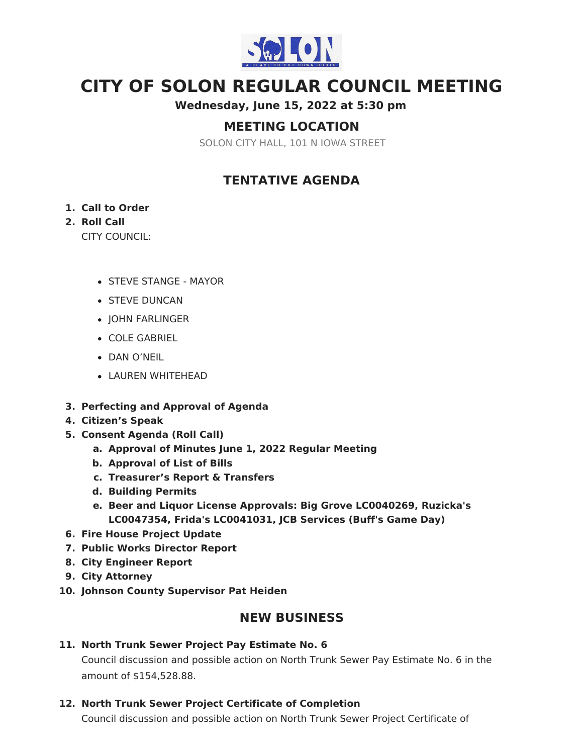

# **CITY OF SOLON REGULAR COUNCIL MEETING**

**Wednesday, June 15, 2022 at 5:30 pm**

# **MEETING LOCATION**

SOLON CITY HALL, 101 N IOWA STREET

# **TENTATIVE AGENDA**

#### **1. Call to Order**

### **2. Roll Call**

CITY COUNCIL:

- STEVE STANGE MAYOR
- **STEVE DUNCAN**
- JOHN FARLINGER
- COLE GABRIEL
- DAN O'NEIL
- LAUREN WHITEHEAD
- **3. Perfecting and Approval of Agenda**
- **4. Citizen's Speak**
- **5. Consent Agenda (Roll Call)**
	- **a. Approval of Minutes June 1, 2022 Regular Meeting**
	- **b. Approval of List of Bills**
	- **c. Treasurer's Report & Transfers**
	- **d. Building Permits**
	- **e. Beer and Liquor License Approvals: Big Grove LC0040269, Ruzicka's LC0047354, Frida's LC0041031, JCB Services (Buff's Game Day)**
- **6. Fire House Project Update**
- **7. Public Works Director Report**
- **8. City Engineer Report**
- **9. City Attorney**
- **10. Johnson County Supervisor Pat Heiden**

# **NEW BUSINESS**

#### **11. North Trunk Sewer Project Pay Estimate No. 6**

Council discussion and possible action on North Trunk Sewer Pay Estimate No. 6 in the amount of \$154,528.88.

#### **12. North Trunk Sewer Project Certificate of Completion**

Council discussion and possible action on North Trunk Sewer Project Certificate of